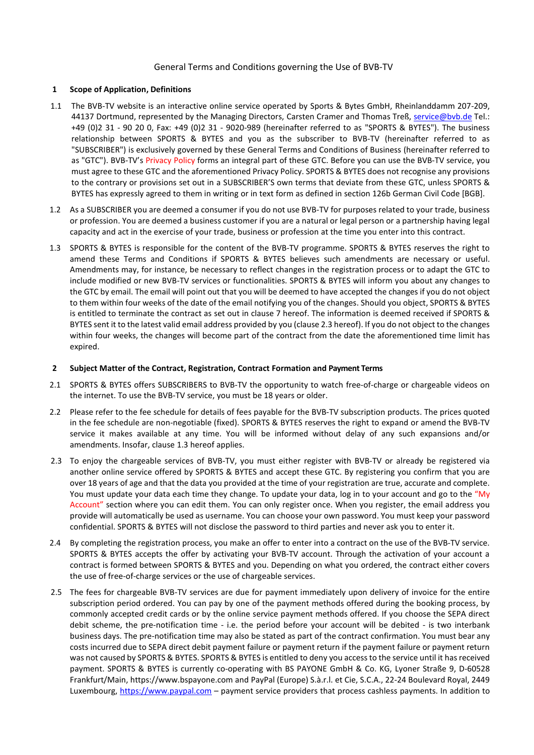# General Terms and Conditions governing the Use of BVB-TV

### **1 Scope of Application, Definitions**

- 1.1 The BVB-TV website is an interactive online service operated by Sports & Bytes GmbH, Rheinlanddamm 207-209, 44137 Dortmund, represented by the Managing Directors, Carsten Cramer and Thomas Treß, [service@bvb.de](mailto:service@bvb.de) Tel.: +49 (0)2 31 - 90 20 0, Fax: +49 (0)2 31 - 9020-989 (hereinafter referred to as "SPORTS & BYTES"). The business relationship between SPORTS & BYTES and you as the subscriber to BVB-TV (hereinafter referred to as "SUBSCRIBER") is exclusively governed by these General Terms and Conditions of Business (hereinafter referred to as "GTC"). BVB-TV's Privacy Policy forms an integral part of these GTC. Before you can use the BVB-TV service, you must agree to these GTC and the aforementioned Privacy Policy. SPORTS & BYTES does not recognise any provisions to the contrary or provisions set out in a SUBSCRIBER'S own terms that deviate from these GTC, unless SPORTS & BYTES has expressly agreed to them in writing or in text form as defined in section 126b German Civil Code [BGB].
- 1.2 As a SUBSCRIBER you are deemed a consumer if you do not use BVB-TV for purposes related to your trade, business or profession. You are deemed a business customer if you are a natural or legal person or a partnership having legal capacity and act in the exercise of your trade, business or profession at the time you enter into this contract.
- 1.3 SPORTS & BYTES is responsible for the content of the BVB-TV programme. SPORTS & BYTES reserves the right to amend these Terms and Conditions if SPORTS & BYTES believes such amendments are necessary or useful. Amendments may, for instance, be necessary to reflect changes in the registration process or to adapt the GTC to include modified or new BVB-TV services or functionalities. SPORTS & BYTES will inform you about any changes to the GTC by email. The email will point out that you will be deemed to have accepted the changes if you do not object to them within four weeks of the date of the email notifying you of the changes. Should you object, SPORTS & BYTES is entitled to terminate the contract as set out in clause 7 hereof. The information is deemed received if SPORTS & BYTES sent it to the latest valid email address provided by you (clause 2.3 hereof). If you do not object to the changes within four weeks, the changes will become part of the contract from the date the aforementioned time limit has expired.

# **2 Subject Matter of the Contract, Registration, Contract Formation and Payment Terms**

- 2.1 SPORTS & BYTES offers SUBSCRIBERS to BVB-TV the opportunity to watch free-of-charge or chargeable videos on the internet. To use the BVB-TV service, you must be 18 years or older.
- 2.2 Please refer to the fee schedule for details of fees payable for the BVB-TV subscription products. The prices quoted in the fee schedule are non-negotiable (fixed). SPORTS & BYTES reserves the right to expand or amend the BVB-TV service it makes available at any time. You will be informed without delay of any such expansions and/or amendments. Insofar, clause 1.3 hereof applies.
- 2.3 To enjoy the chargeable services of BVB-TV, you must either register with BVB-TV or already be registered via another online service offered by SPORTS & BYTES and accept these GTC. By registering you confirm that you are over 18 years of age and that the data you provided at the time of your registration are true, accurate and complete. You must update your data each time they change. To update your data, log in to your account and go to the "My Account" section where you can edit them. You can only register once. When you register, the email address you provide will automatically be used as username. You can choose your own password. You must keep your password confidential. SPORTS & BYTES will not disclose the password to third parties and never ask you to enter it.
- 2.4 By completing the registration process, you make an offer to enter into a contract on the use of the BVB-TV service. SPORTS & BYTES accepts the offer by activating your BVB-TV account. Through the activation of your account a contract is formed between SPORTS & BYTES and you. Depending on what you ordered, the contract either covers the use of free-of-charge services or the use of chargeable services.
- 2.5 The fees for chargeable BVB-TV services are due for payment immediately upon delivery of invoice for the entire subscription period ordered. You can pay by one of the payment methods offered during the booking process, by commonly accepted credit cards or by the online service payment methods offered. If you choose the SEPA direct debit scheme, the pre-notification time - i.e. the period before your account will be debited - is two interbank business days. The pre-notification time may also be stated as part of the contract confirmation. You must bear any costs incurred due to SEPA direct debit payment failure or payment return if the payment failure or payment return was not caused by SPORTS & BYTES. SPORTS & BYTES is entitled to deny you access to the service until it has received payment. SPORTS & BYTES is currently co-operating with BS PAYONE GmbH & Co. KG, Lyoner Straße 9, D-60528 Frankfurt/Main, https://www.bspayone.com and PayPal (Europe) S.à.r.l. et Cie, S.C.A., 22-24 Boulevard Royal, 2449 Luxembourg, [https://www.paypal.com](https://www.paypal.com/) - payment service providers that process cashless payments. In addition to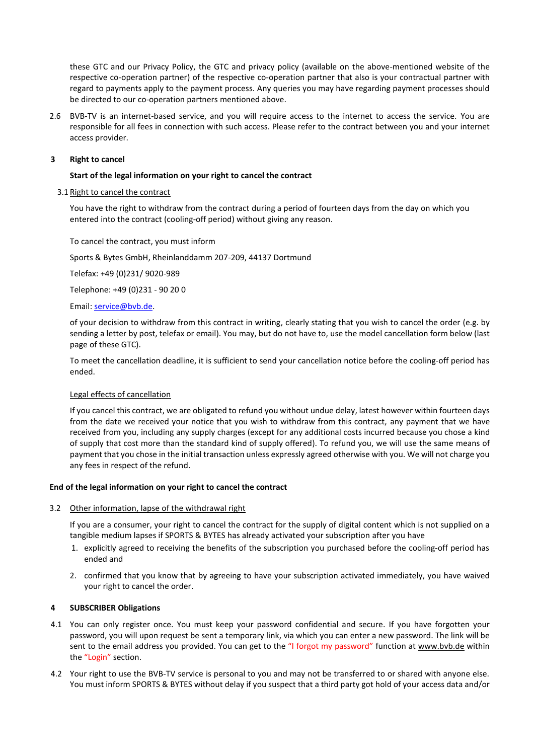these GTC and our Privacy Policy, the GTC and privacy policy (available on the above-mentioned website of the respective co-operation partner) of the respective co-operation partner that also is your contractual partner with regard to payments apply to the payment process. Any queries you may have regarding payment processes should be directed to our co-operation partners mentioned above.

2.6 BVB-TV is an internet-based service, and you will require access to the internet to access the service. You are responsible for all fees in connection with such access. Please refer to the contract between you and your internet access provider.

# **3 Right to cancel**

# **Start of the legal information on your right to cancel the contract**

## 3.1 Right to cancel the contract

You have the right to withdraw from the contract during a period of fourteen days from the day on which you entered into the contract (cooling-off period) without giving any reason.

To cancel the contract, you must inform

Sports & Bytes GmbH, Rheinlanddamm 207-209, 44137 Dortmund

Telefax: +49 (0)231/ 9020-989

Telephone: +49 (0)231 - 90 20 0

Email: [service@bvb.de.](mailto:service@bvb.de)

of your decision to withdraw from this contract in writing, clearly stating that you wish to cancel the order (e.g. by sending a letter by post, telefax or email). You may, but do not have to, use the model cancellation form below (last page of these GTC).

To meet the cancellation deadline, it is sufficient to send your cancellation notice before the cooling-off period has ended.

### Legal effects of cancellation

If you cancel this contract, we are obligated to refund you without undue delay, latest however within fourteen days from the date we received your notice that you wish to withdraw from this contract, any payment that we have received from you, including any supply charges (except for any additional costs incurred because you chose a kind of supply that cost more than the standard kind of supply offered). To refund you, we will use the same means of payment that you chose in the initial transaction unless expressly agreed otherwise with you. We will not charge you any fees in respect of the refund.

# **End of the legal information on your right to cancel the contract**

# 3.2 Other information, lapse of the withdrawal right

If you are a consumer, your right to cancel the contract for the supply of digital content which is not supplied on a tangible medium lapses if SPORTS & BYTES has already activated your subscription after you have

- 1. explicitly agreed to receiving the benefits of the subscription you purchased before the cooling-off period has ended and
- 2. confirmed that you know that by agreeing to have your subscription activated immediately, you have waived your right to cancel the order.

# **4 SUBSCRIBER Obligations**

- 4.1 You can only register once. You must keep your password confidential and secure. If you have forgotten your password, you will upon request be sent a temporary link, via which you can enter a new password. The link will be sent to the email address you provided. You can get to the "I forgot my password" function at www.bvb.de within the "Login" section.
- 4.2 Your right to use the BVB-TV service is personal to you and may not be transferred to or shared with anyone else. You must inform SPORTS & BYTES without delay if you suspect that a third party got hold of your access data and/or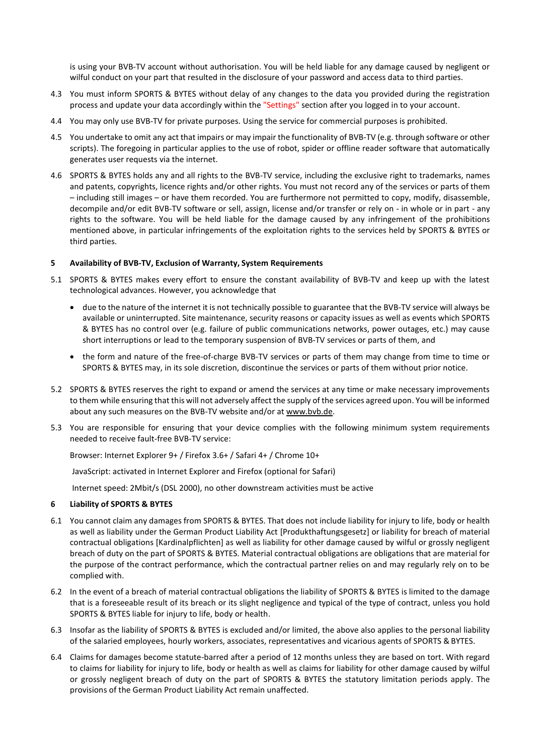is using your BVB-TV account without authorisation. You will be held liable for any damage caused by negligent or wilful conduct on your part that resulted in the disclosure of your password and access data to third parties.

- 4.3 You must inform SPORTS & BYTES without delay of any changes to the data you provided during the registration process and update your data accordingly within the "Settings" section after you logged in to your account.
- 4.4 You may only use BVB-TV for private purposes. Using the service for commercial purposes is prohibited.
- 4.5 You undertake to omit any act that impairs or may impair the functionality of BVB-TV (e.g. through software or other scripts). The foregoing in particular applies to the use of robot, spider or offline reader software that automatically generates user requests via the internet.
- 4.6 SPORTS & BYTES holds any and all rights to the BVB-TV service, including the exclusive right to trademarks, names and patents, copyrights, licence rights and/or other rights. You must not record any of the services or parts of them – including still images – or have them recorded. You are furthermore not permitted to copy, modify, disassemble, decompile and/or edit BVB-TV software or sell, assign, license and/or transfer or rely on - in whole or in part - any rights to the software. You will be held liable for the damage caused by any infringement of the prohibitions mentioned above, in particular infringements of the exploitation rights to the services held by SPORTS & BYTES or third parties.

### **5 Availability of BVB-TV, Exclusion of Warranty, System Requirements**

- 5.1 SPORTS & BYTES makes every effort to ensure the constant availability of BVB-TV and keep up with the latest technological advances. However, you acknowledge that
	- due to the nature of the internet it is not technically possible to guarantee that the BVB-TV service will always be available or uninterrupted. Site maintenance, security reasons or capacity issues as well as events which SPORTS & BYTES has no control over (e.g. failure of public communications networks, power outages, etc.) may cause short interruptions or lead to the temporary suspension of BVB-TV services or parts of them, and
	- the form and nature of the free-of-charge BVB-TV services or parts of them may change from time to time or SPORTS & BYTES may, in its sole discretion, discontinue the services or parts of them without prior notice.
- 5.2 SPORTS & BYTES reserves the right to expand or amend the services at any time or make necessary improvements to them while ensuring that this will not adversely affect the supply of the services agreed upon. You will be informed about any such measures on the BVB-TV website and/or at [www.bvb.de.](http://www.bvb.de/)
- 5.3 You are responsible for ensuring that your device complies with the following minimum system requirements needed to receive fault-free BVB-TV service:

Browser: Internet Explorer 9+ / Firefox 3.6+ / Safari 4+ / Chrome 10+

JavaScript: activated in Internet Explorer and Firefox (optional for Safari)

Internet speed: 2Mbit/s (DSL 2000), no other downstream activities must be active

# **6 Liability of SPORTS & BYTES**

- 6.1 You cannot claim any damages from SPORTS & BYTES. That does not include liability for injury to life, body or health as well as liability under the German Product Liability Act [Produkthaftungsgesetz] or liability for breach of material contractual obligations [Kardinalpflichten] as well as liability for other damage caused by wilful or grossly negligent breach of duty on the part of SPORTS & BYTES. Material contractual obligations are obligations that are material for the purpose of the contract performance, which the contractual partner relies on and may regularly rely on to be complied with.
- 6.2 In the event of a breach of material contractual obligations the liability of SPORTS & BYTES is limited to the damage that is a foreseeable result of its breach or its slight negligence and typical of the type of contract, unless you hold SPORTS & BYTES liable for injury to life, body or health.
- 6.3 Insofar as the liability of SPORTS & BYTES is excluded and/or limited, the above also applies to the personal liability of the salaried employees, hourly workers, associates, representatives and vicarious agents of SPORTS &BYTES.
- 6.4 Claims for damages become statute-barred after a period of 12 months unless they are based on tort. With regard to claims for liability for injury to life, body or health as well as claims for liability for other damage caused by wilful or grossly negligent breach of duty on the part of SPORTS & BYTES the statutory limitation periods apply. The provisions of the German Product Liability Act remain unaffected.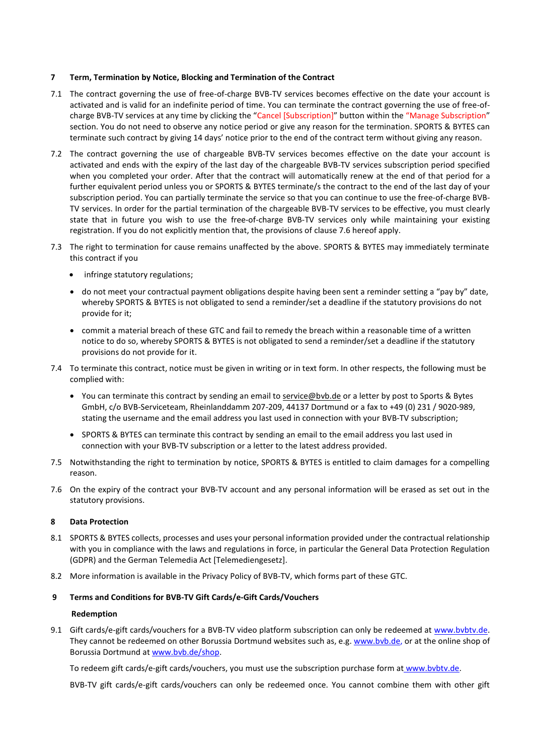### **7 Term, Termination by Notice, Blocking and Termination of the Contract**

- 7.1 The contract governing the use of free-of-charge BVB-TV services becomes effective on the date your account is activated and is valid for an indefinite period of time. You can terminate the contract governing the use of free-ofcharge BVB-TV services at any time by clicking the "Cancel [Subscription]" button within the "Manage Subscription" section. You do not need to observe any notice period or give any reason for the termination. SPORTS & BYTES can terminate such contract by giving 14 days' notice prior to the end of the contract term without giving any reason.
- 7.2 The contract governing the use of chargeable BVB-TV services becomes effective on the date your account is activated and ends with the expiry of the last day of the chargeable BVB-TV services subscription period specified when you completed your order. After that the contract will automatically renew at the end of that period for a further equivalent period unless you or SPORTS & BYTES terminate/s the contract to the end of the last day of your subscription period. You can partially terminate the service so that you can continue to use the free-of-charge BVB-TV services. In order for the partial termination of the chargeable BVB-TV services to be effective, you must clearly state that in future you wish to use the free-of-charge BVB-TV services only while maintaining your existing registration. If you do not explicitly mention that, the provisions of clause 7.6 hereof apply.
- 7.3 The right to termination for cause remains unaffected by the above. SPORTS & BYTES may immediately terminate this contract if you
	- infringe statutory regulations;
	- do not meet your contractual payment obligations despite having been sent a reminder setting a "pay by" date, whereby SPORTS & BYTES is not obligated to send a reminder/set a deadline if the statutory provisions do not provide for it;
	- commit a material breach of these GTC and fail to remedy the breach within a reasonable time of a written notice to do so, whereby SPORTS & BYTES is not obligated to send a reminder/set a deadline if the statutory provisions do not provide for it.
- 7.4 To terminate this contract, notice must be given in writing or in text form. In other respects, the following must be complied with:
	- You can terminate this contract by sending an email to [service@bvb.de](mailto:service@bvb.de) or a letter by post to Sports & Bytes GmbH, c/o BVB-Serviceteam, Rheinlanddamm 207-209, 44137 Dortmund or a fax to +49 (0) 231 / 9020-989, stating the username and the email address you last used in connection with your BVB-TV subscription;
	- SPORTS & BYTES can terminate this contract by sending an email to the email address you last used in connection with your BVB-TV subscription or a letter to the latest address provided.
- 7.5 Notwithstanding the right to termination by notice, SPORTS & BYTES is entitled to claim damages for a compelling reason.
- 7.6 On the expiry of the contract your BVB-TV account and any personal information will be erased as set out in the statutory provisions.

# **8 Data Protection**

- 8.1 SPORTS & BYTES collects, processes and uses your personal information provided under the contractual relationship with you in compliance with the laws and regulations in force, in particular the General Data Protection Regulation (GDPR) and the German Telemedia Act [Telemediengesetz].
- 8.2 More information is available in the Privacy Policy of BVB-TV, which forms part of these GTC.

# **9 Terms and Conditions for BVB-TV Gift Cards/e-Gift Cards/Vouchers**

### **Redemption**

9.1 Gift cards/e-gift cards/vouchers for a BVB-TV video platform subscription can only be redeemed at www.bvbtv.de. They cannot be redeemed on other Borussia Dortmund websites such as, e.g. www.bvb.de, or at the online shop of Borussia Dortmund at [www.bvb.de/shop.](http://www.bvb.de/shop)

To redeem gift cards/e-gift cards/vouchers, you must use the subscription purchase form at www.bvbtv.de.

BVB-TV gift cards/e-gift cards/vouchers can only be redeemed once. You cannot combine them with other gift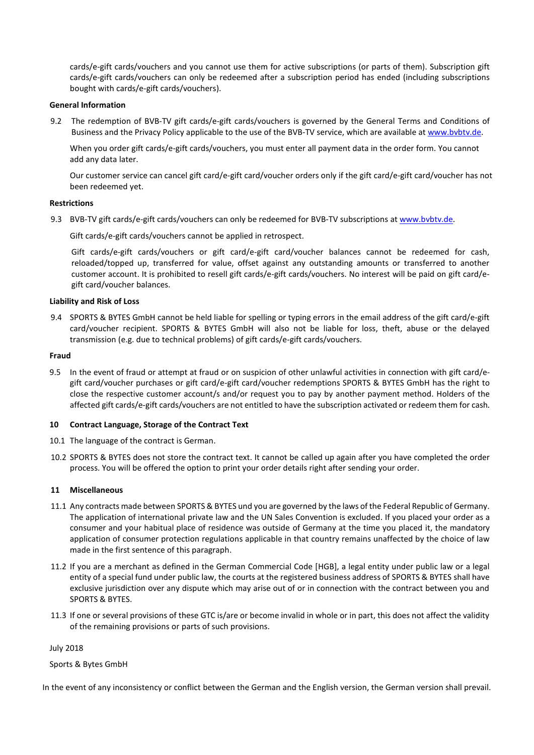cards/e-gift cards/vouchers and you cannot use them for active subscriptions (or parts of them). Subscription gift cards/e-gift cards/vouchers can only be redeemed after a subscription period has ended (including subscriptions bought with cards/e-gift cards/vouchers).

### **General Information**

9.2 The redemption of BVB-TV gift cards/e-gift cards/vouchers is governed by the General Terms and Conditions of Business and the Privacy Policy applicable to the use of the BVB-TV service, which are available at [www.bvbtv.de.](http://www.bvbtv.de/)

When you order gift cards/e-gift cards/vouchers, you must enter all payment data in the order form. You cannot add any data later.

Our customer service can cancel gift card/e-gift card/voucher orders only if the gift card/e-gift card/voucher has not been redeemed yet.

### **Restrictions**

9.3 BVB-TV gift cards/e-gift cards/vouchers can only be redeemed for BVB-TV subscriptions at www.bvbtv.de.

Gift cards/e-gift cards/vouchers cannot be applied in retrospect.

Gift cards/e-gift cards/vouchers or gift card/e-gift card/voucher balances cannot be redeemed for cash, reloaded/topped up, transferred for value, offset against any outstanding amounts or transferred to another customer account. It is prohibited to resell gift cards/e-gift cards/vouchers. No interest will be paid on gift card/egift card/voucher balances.

### **Liability and Risk of Loss**

9.4 SPORTS & BYTES GmbH cannot be held liable for spelling or typing errors in the email address of the gift card/e-gift card/voucher recipient. SPORTS & BYTES GmbH will also not be liable for loss, theft, abuse or the delayed transmission (e.g. due to technical problems) of gift cards/e-gift cards/vouchers.

### **Fraud**

9.5 In the event of fraud or attempt at fraud or on suspicion of other unlawful activities in connection with gift card/egift card/voucher purchases or gift card/e-gift card/voucher redemptions SPORTS & BYTES GmbH has the right to close the respective customer account/s and/or request you to pay by another payment method. Holders of the affected gift cards/e-gift cards/vouchers are not entitled to have the subscription activated or redeem them for cash.

### **10 Contract Language, Storage of the Contract Text**

- 10.1 The language of the contract is German.
- 10.2 SPORTS & BYTES does not store the contract text. It cannot be called up again after you have completed the order process. You will be offered the option to print your order details right after sending your order.

### **11 Miscellaneous**

- 11.1 Any contracts made between SPORTS & BYTES und you are governed by the laws of the Federal Republic of Germany. The application of international private law and the UN Sales Convention is excluded. If you placed your order as a consumer and your habitual place of residence was outside of Germany at the time you placed it, the mandatory application of consumer protection regulations applicable in that country remains unaffected by the choice of law made in the first sentence of this paragraph.
- 11.2 If you are a merchant as defined in the German Commercial Code [HGB], a legal entity under public law or a legal entity of a special fund under public law, the courts at the registered business address of SPORTS & BYTES shall have exclusive jurisdiction over any dispute which may arise out of or in connection with the contract between you and SPORTS & BYTES.
- 11.3 If one or several provisions of these GTC is/are or become invalid in whole or in part, this does not affect the validity of the remaining provisions or parts of such provisions.

July 2018

Sports & Bytes GmbH

In the event of any inconsistency or conflict between the German and the English version, the German version shall prevail.